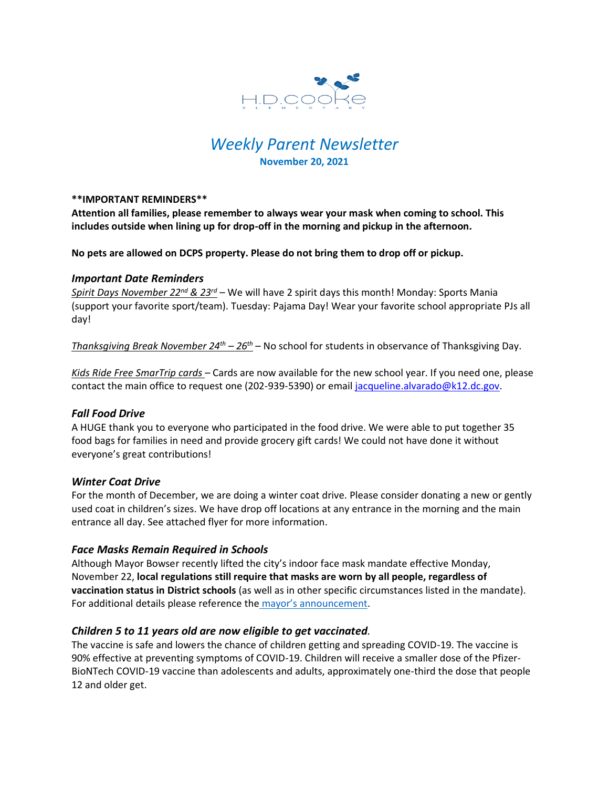

# *Weekly Parent Newsletter* **November 20, 2021**

#### **\*\*IMPORTANT REMINDERS\*\***

**Attention all families, please remember to always wear your mask when coming to school. This includes outside when lining up for drop-off in the morning and pickup in the afternoon.** 

**No pets are allowed on DCPS property. Please do not bring them to drop off or pickup.** 

#### *Important Date Reminders*

*Spirit Days November 22nd & 23rd* – We will have 2 spirit days this month! Monday: Sports Mania (support your favorite sport/team). Tuesday: Pajama Day! Wear your favorite school appropriate PJs all day!

*Thanksgiving Break November 24th – 26th* – No school for students in observance of Thanksgiving Day.

*Kids Ride Free SmarTrip cards* – Cards are now available for the new school year. If you need one, please contact the main office to request one (202-939-5390) or email [jacqueline.alvarado@k12.dc.gov.](mailto:jacqueline.alvarado@k12.dc.gov)

## *Fall Food Drive*

A HUGE thank you to everyone who participated in the food drive. We were able to put together 35 food bags for families in need and provide grocery gift cards! We could not have done it without everyone's great contributions!

## *Winter Coat Drive*

For the month of December, we are doing a winter coat drive. Please consider donating a new or gently used coat in children's sizes. We have drop off locations at any entrance in the morning and the main entrance all day. See attached flyer for more information.

## *Face Masks Remain Required in Schools*

Although Mayor Bowser recently lifted the city's indoor face mask mandate effective Monday, November 22, **local regulations still require that masks are worn by all people, regardless of vaccination status in District schools** (as well as in other specific circumstances listed in the mandate). For additional details please reference the mayor's [announcement.](https://coronavirus.dc.gov/release/mayor-bowser-lift-indoor-mask-mandate-monday-november-22)

## *Children 5 to 11 years old are now eligible to get vaccinated.*

The vaccine is safe and lowers the chance of children getting and spreading COVID-19. The vaccine is 90% effective at preventing symptoms of COVID-19. Children will receive a smaller dose of the Pfizer-BioNTech COVID-19 vaccine than adolescents and adults, approximately one-third the dose that people 12 and older get.